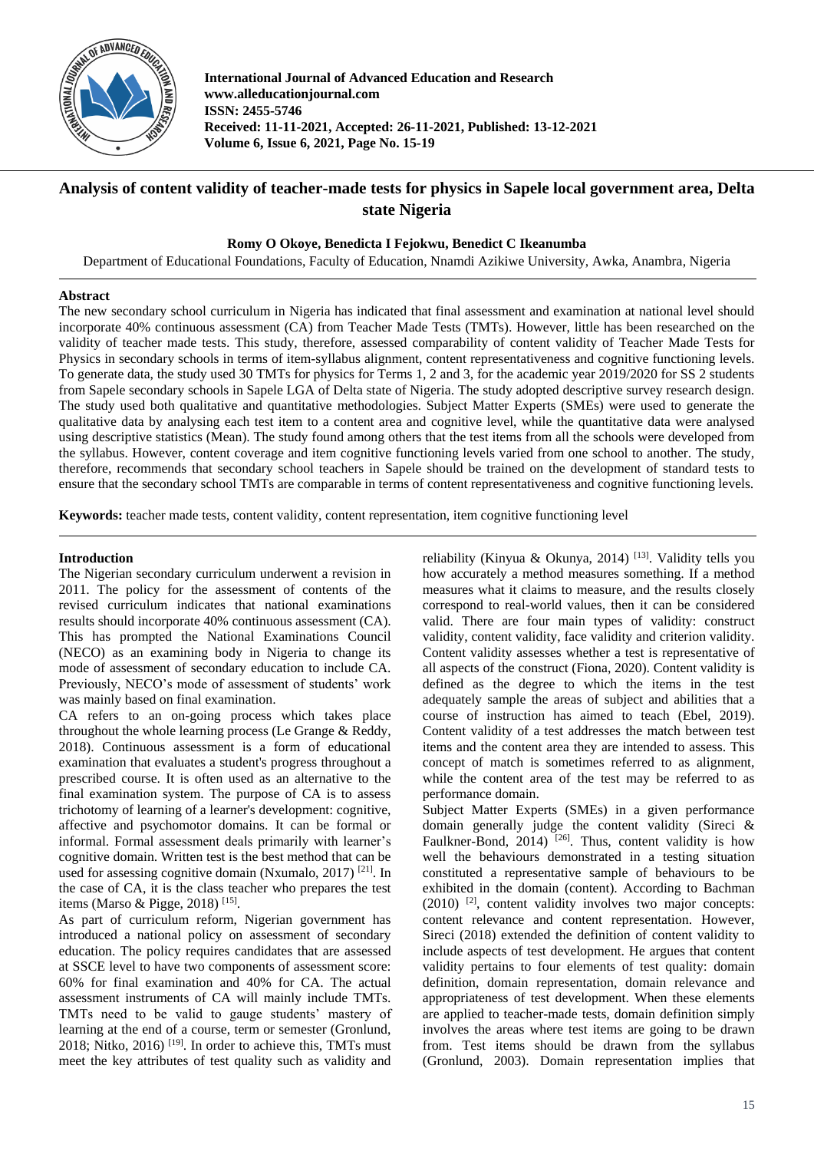

**International Journal of Advanced Education and Research www.alleducationjournal.com ISSN: 2455-5746 Received: 11-11-2021, Accepted: 26-11-2021, Published: 13-12-2021 Volume 6, Issue 6, 2021, Page No. 15-19**

# **Analysis of content validity of teacher-made tests for physics in Sapele local government area, Delta state Nigeria**

# **Romy O Okoye, Benedicta I Fejokwu, Benedict C Ikeanumba**

Department of Educational Foundations, Faculty of Education, Nnamdi Azikiwe University, Awka, Anambra, Nigeria

# **Abstract**

The new secondary school curriculum in Nigeria has indicated that final assessment and examination at national level should incorporate 40% continuous assessment (CA) from Teacher Made Tests (TMTs). However, little has been researched on the validity of teacher made tests. This study, therefore, assessed comparability of content validity of Teacher Made Tests for Physics in secondary schools in terms of item-syllabus alignment, content representativeness and cognitive functioning levels. To generate data, the study used 30 TMTs for physics for Terms 1, 2 and 3, for the academic year 2019/2020 for SS 2 students from Sapele secondary schools in Sapele LGA of Delta state of Nigeria. The study adopted descriptive survey research design. The study used both qualitative and quantitative methodologies. Subject Matter Experts (SMEs) were used to generate the qualitative data by analysing each test item to a content area and cognitive level, while the quantitative data were analysed using descriptive statistics (Mean). The study found among others that the test items from all the schools were developed from the syllabus. However, content coverage and item cognitive functioning levels varied from one school to another. The study, therefore, recommends that secondary school teachers in Sapele should be trained on the development of standard tests to ensure that the secondary school TMTs are comparable in terms of content representativeness and cognitive functioning levels.

**Keywords:** teacher made tests, content validity, content representation, item cognitive functioning level

# **Introduction**

The Nigerian secondary curriculum underwent a revision in 2011. The policy for the assessment of contents of the revised curriculum indicates that national examinations results should incorporate 40% continuous assessment (CA). This has prompted the National Examinations Council (NECO) as an examining body in Nigeria to change its mode of assessment of secondary education to include CA. Previously, NECO's mode of assessment of students' work was mainly based on final examination.

CA refers to an on-going process which takes place throughout the whole learning process (Le Grange & Reddy, 2018). Continuous assessment is a form of educational examination that evaluates a student's progress throughout a prescribed course. It is often used as an alternative to the final examination system. The purpose of CA is to assess trichotomy of learning of a learner's development: cognitive, affective and psychomotor domains. It can be formal or informal. Formal assessment deals primarily with learner's cognitive domain. Written test is the best method that can be used for assessing cognitive domain (Nxumalo, 2017) [21]. In the case of CA, it is the class teacher who prepares the test items (Marso & Pigge, 2018)<sup>[15]</sup>.

As part of curriculum reform, Nigerian government has introduced a national policy on assessment of secondary education. The policy requires candidates that are assessed at SSCE level to have two components of assessment score: 60% for final examination and 40% for CA. The actual assessment instruments of CA will mainly include TMTs. TMTs need to be valid to gauge students' mastery of learning at the end of a course, term or semester (Gronlund, 2018; Nitko, 2016) [19]. In order to achieve this, TMTs must meet the key attributes of test quality such as validity and

reliability (Kinyua & Okunya, 2014) [13]. Validity tells you how accurately a method measures something. If a method measures what it claims to measure, and the results closely correspond to real-world values, then it can be considered valid. There are four main types of validity: construct validity, content validity, face validity and criterion validity. Content validity assesses whether a test is representative of all aspects of the construct (Fiona, 2020). Content validity is defined as the degree to which the items in the test adequately sample the areas of subject and abilities that a course of instruction has aimed to teach (Ebel, 2019). Content validity of a test addresses the match between test items and the content area they are intended to assess. This concept of match is sometimes referred to as alignment, while the content area of the test may be referred to as performance domain.

Subject Matter Experts (SMEs) in a given performance domain generally judge the content validity (Sireci & Faulkner-Bond,  $2014$ )<sup>[26]</sup>. Thus, content validity is how well the behaviours demonstrated in a testing situation constituted a representative sample of behaviours to be exhibited in the domain (content). According to Bachman  $(2010)$  <sup>[2]</sup>, content validity involves two major concepts: content relevance and content representation. However, Sireci (2018) extended the definition of content validity to include aspects of test development. He argues that content validity pertains to four elements of test quality: domain definition, domain representation, domain relevance and appropriateness of test development. When these elements are applied to teacher-made tests, domain definition simply involves the areas where test items are going to be drawn from. Test items should be drawn from the syllabus (Gronlund, 2003). Domain representation implies that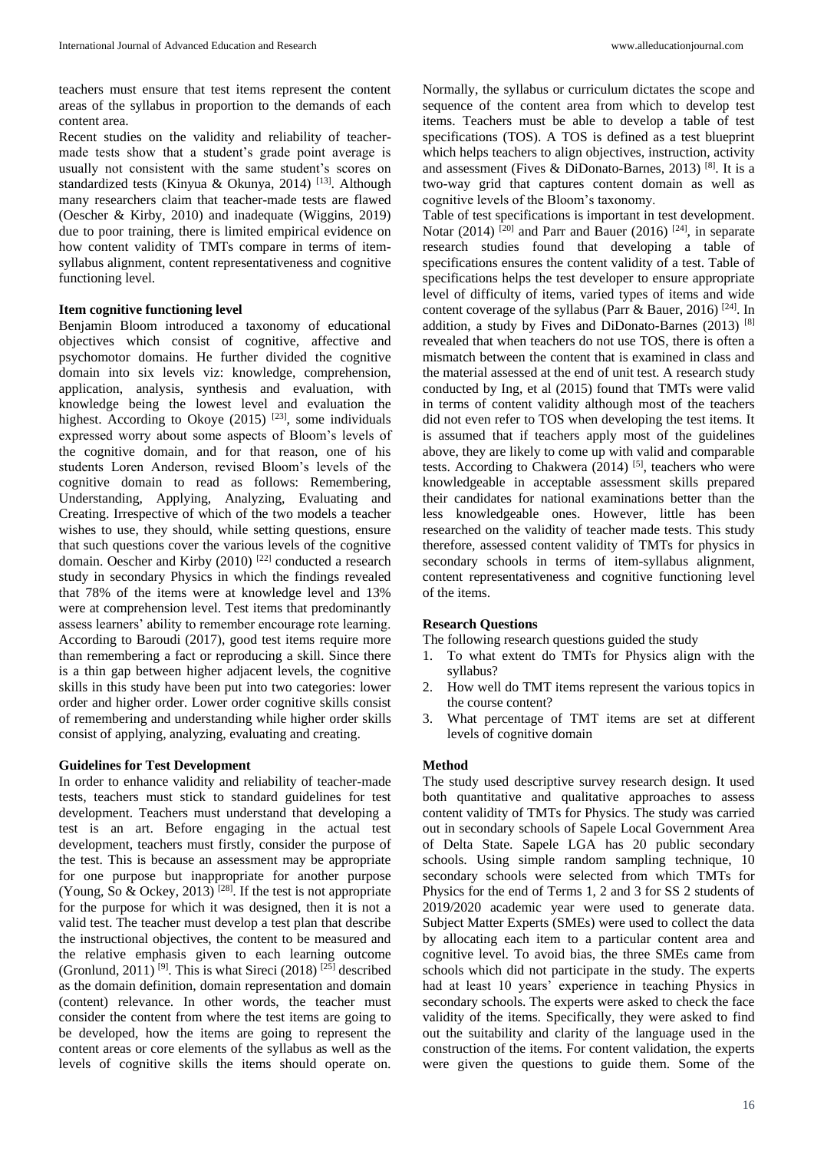teachers must ensure that test items represent the content areas of the syllabus in proportion to the demands of each content area.

Recent studies on the validity and reliability of teachermade tests show that a student's grade point average is usually not consistent with the same student's scores on standardized tests (Kinyua & Okunya, 2014) [13]. Although many researchers claim that teacher-made tests are flawed (Oescher & Kirby, 2010) and inadequate (Wiggins, 2019) due to poor training, there is limited empirical evidence on how content validity of TMTs compare in terms of itemsyllabus alignment, content representativeness and cognitive functioning level.

# **Item cognitive functioning level**

Benjamin Bloom introduced a taxonomy of educational objectives which consist of cognitive, affective and psychomotor domains. He further divided the cognitive domain into six levels viz: knowledge, comprehension, application, analysis, synthesis and evaluation, with knowledge being the lowest level and evaluation the highest. According to Okoye  $(2015)$  <sup>[23]</sup>, some individuals expressed worry about some aspects of Bloom's levels of the cognitive domain, and for that reason, one of his students Loren Anderson, revised Bloom's levels of the cognitive domain to read as follows: Remembering, Understanding, Applying, Analyzing, Evaluating and Creating. Irrespective of which of the two models a teacher wishes to use, they should, while setting questions, ensure that such questions cover the various levels of the cognitive domain. Oescher and Kirby (2010) [22] conducted a research study in secondary Physics in which the findings revealed that 78% of the items were at knowledge level and 13% were at comprehension level. Test items that predominantly assess learners' ability to remember encourage rote learning. According to Baroudi (2017), good test items require more than remembering a fact or reproducing a skill. Since there is a thin gap between higher adjacent levels, the cognitive skills in this study have been put into two categories: lower order and higher order. Lower order cognitive skills consist of remembering and understanding while higher order skills consist of applying, analyzing, evaluating and creating.

#### **Guidelines for Test Development**

In order to enhance validity and reliability of teacher-made tests, teachers must stick to standard guidelines for test development. Teachers must understand that developing a test is an art. Before engaging in the actual test development, teachers must firstly, consider the purpose of the test. This is because an assessment may be appropriate for one purpose but inappropriate for another purpose (Young, So  $\&$  Ockey, 2013)<sup>[28]</sup>. If the test is not appropriate for the purpose for which it was designed, then it is not a valid test. The teacher must develop a test plan that describe the instructional objectives, the content to be measured and the relative emphasis given to each learning outcome (Gronlund, 2011)<sup>[9]</sup>. This is what Sireci (2018)<sup>[25]</sup> described as the domain definition, domain representation and domain (content) relevance. In other words, the teacher must consider the content from where the test items are going to be developed, how the items are going to represent the content areas or core elements of the syllabus as well as the levels of cognitive skills the items should operate on.

Normally, the syllabus or curriculum dictates the scope and sequence of the content area from which to develop test items. Teachers must be able to develop a table of test specifications (TOS). A TOS is defined as a test blueprint which helps teachers to align objectives, instruction, activity and assessment (Fives & DiDonato-Barnes, 2013) [8]. It is a two-way grid that captures content domain as well as cognitive levels of the Bloom's taxonomy.

Table of test specifications is important in test development. Notar (2014) <sup>[20]</sup> and Parr and Bauer (2016) <sup>[24]</sup>, in separate research studies found that developing a table of specifications ensures the content validity of a test. Table of specifications helps the test developer to ensure appropriate level of difficulty of items, varied types of items and wide content coverage of the syllabus (Parr  $\&$  Bauer, 2016) <sup>[24]</sup>. In addition, a study by Fives and DiDonato-Barnes (2013) [8] revealed that when teachers do not use TOS, there is often a mismatch between the content that is examined in class and the material assessed at the end of unit test. A research study conducted by Ing, et al (2015) found that TMTs were valid in terms of content validity although most of the teachers did not even refer to TOS when developing the test items. It is assumed that if teachers apply most of the guidelines above, they are likely to come up with valid and comparable tests. According to Chakwera  $(2014)$  [5], teachers who were knowledgeable in acceptable assessment skills prepared their candidates for national examinations better than the less knowledgeable ones. However, little has been researched on the validity of teacher made tests. This study therefore, assessed content validity of TMTs for physics in secondary schools in terms of item-syllabus alignment, content representativeness and cognitive functioning level of the items.

# **Research Questions**

- The following research questions guided the study
- 1. To what extent do TMTs for Physics align with the syllabus?
- 2. How well do TMT items represent the various topics in the course content?
- 3. What percentage of TMT items are set at different levels of cognitive domain

# **Method**

The study used descriptive survey research design. It used both quantitative and qualitative approaches to assess content validity of TMTs for Physics. The study was carried out in secondary schools of Sapele Local Government Area of Delta State. Sapele LGA has 20 public secondary schools. Using simple random sampling technique, 10 secondary schools were selected from which TMTs for Physics for the end of Terms 1, 2 and 3 for SS 2 students of 2019/2020 academic year were used to generate data. Subject Matter Experts (SMEs) were used to collect the data by allocating each item to a particular content area and cognitive level. To avoid bias, the three SMEs came from schools which did not participate in the study. The experts had at least 10 years' experience in teaching Physics in secondary schools. The experts were asked to check the face validity of the items. Specifically, they were asked to find out the suitability and clarity of the language used in the construction of the items. For content validation, the experts were given the questions to guide them. Some of the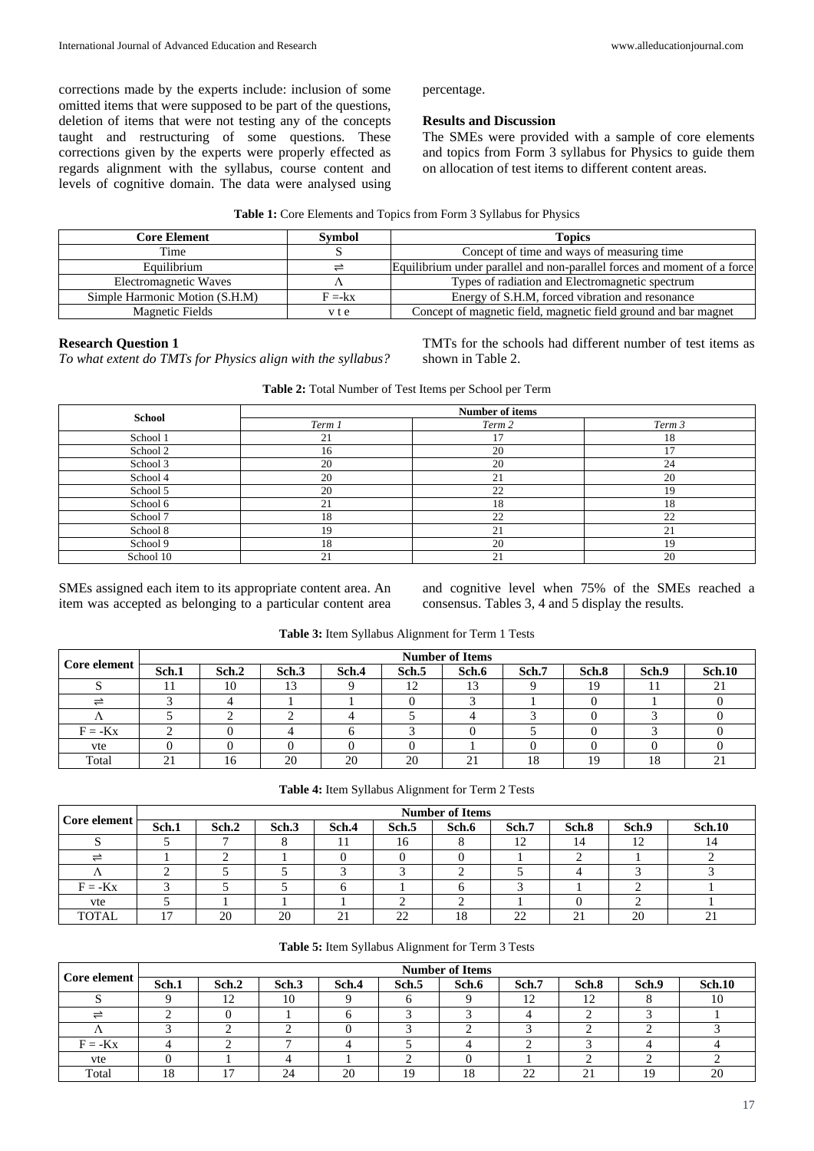corrections made by the experts include: inclusion of some omitted items that were supposed to be part of the questions, deletion of items that were not testing any of the concepts taught and restructuring of some questions. These corrections given by the experts were properly effected as regards alignment with the syllabus, course content and levels of cognitive domain. The data were analysed using percentage.

# **Results and Discussion**

The SMEs were provided with a sample of core elements and topics from Form 3 syllabus for Physics to guide them on allocation of test items to different content areas.

#### **Table 1:** Core Elements and Topics from Form 3 Syllabus for Physics

| <b>Core Element</b>            | <b>Symbol</b> | <b>Topics</b>                                                            |
|--------------------------------|---------------|--------------------------------------------------------------------------|
| Time                           |               | Concept of time and ways of measuring time                               |
| Equilibrium                    | ≓             | Equilibrium under parallel and non-parallel forces and moment of a force |
| Electromagnetic Waves          |               | Types of radiation and Electromagnetic spectrum                          |
| Simple Harmonic Motion (S.H.M) | $F = -kx$     | Energy of S.H.M, forced vibration and resonance                          |
| <b>Magnetic Fields</b>         | y t e         | Concept of magnetic field, magnetic field ground and bar magnet          |

# **Research Question 1**

*To what extent do TMTs for Physics align with the syllabus?* 

TMTs for the schools had different number of test items as shown in Table 2.

| Table 2: Total Number of Test Items per School per Term |  |
|---------------------------------------------------------|--|
|---------------------------------------------------------|--|

| <b>School</b> | Number of items |        |        |  |  |  |  |  |
|---------------|-----------------|--------|--------|--|--|--|--|--|
|               | Term 1          | Term 2 | Term 3 |  |  |  |  |  |
| School 1      | 21              | 17     | 18     |  |  |  |  |  |
| School 2      | 16              | 20     | 17     |  |  |  |  |  |
| School 3      | 20              | 20     | 24     |  |  |  |  |  |
| School 4      | 20              | 21     | 20     |  |  |  |  |  |
| School 5      | 20              | 22     | 19     |  |  |  |  |  |
| School 6      | 21              | 18     | 18     |  |  |  |  |  |
| School 7      | 18              | 22     | 22     |  |  |  |  |  |
| School 8      | 19              | 21     | 21     |  |  |  |  |  |
| School 9      | 18              | 20     | 19     |  |  |  |  |  |
| School 10     | 21              | 21     | 20     |  |  |  |  |  |

SMEs assigned each item to its appropriate content area. An item was accepted as belonging to a particular content area

and cognitive level when 75% of the SMEs reached a consensus. Tables 3, 4 and 5 display the results.

| Core element | <b>Number of Items</b><br>Sch.1<br>Sch.2<br>Sch.6<br>Sch.3<br>Sch.5<br>Sch.7<br>Sch.8<br>Sch.4 |    |    |    |    |    |                | Sch.9      | <b>Sch.10</b> |    |
|--------------|------------------------------------------------------------------------------------------------|----|----|----|----|----|----------------|------------|---------------|----|
|              |                                                                                                | 10 |    |    | 12 | 13 |                | 19         |               | 21 |
|              |                                                                                                |    |    |    |    |    |                |            |               |    |
|              |                                                                                                |    |    |    |    |    |                |            |               |    |
| $F = -Kx$    |                                                                                                |    |    |    |    |    |                |            |               |    |
| vte          |                                                                                                |    |    |    |    |    |                |            |               |    |
| Total        | 21                                                                                             |    | 20 | 20 | 20 | 21 | 1 <sub>O</sub> | $1 \Omega$ | 18            | 21 |

**Table 3:** Item Syllabus Alignment for Term 1 Tests

| Core element | <b>Number of Items</b> |       |       |       |                     |       |       |            |       |               |  |
|--------------|------------------------|-------|-------|-------|---------------------|-------|-------|------------|-------|---------------|--|
|              | Sch.1                  | Sch.2 | Sch.3 | Sch.4 | Sch.5               | Sch.6 | Sch.7 | Sch.8      | Sch.9 | <b>Sch.10</b> |  |
|              |                        |       |       |       | 16                  |       | 12    | 14         | 12    | 14            |  |
|              |                        |       |       |       |                     |       |       |            |       |               |  |
|              |                        |       |       |       |                     |       |       |            |       |               |  |
| $F = -Kx$    |                        |       |       |       |                     |       |       |            |       |               |  |
| vte          |                        |       |       |       |                     |       |       |            |       |               |  |
| <b>TOTAL</b> |                        | 20    | 20    | 21    | $\mathcal{D}$<br>∠∠ | 18    | 22    | ົາ 1<br>∠⊥ | 20    | ኅ 1<br>∠⊥     |  |

#### **Table 5:** Item Syllabus Alignment for Term 3 Tests

| Core element | <b>Number of Items</b> |       |       |       |       |       |       |                  |       |               |
|--------------|------------------------|-------|-------|-------|-------|-------|-------|------------------|-------|---------------|
|              | Sch.1                  | Sch.2 | Sch.3 | Sch.4 | Sch.5 | Sch.6 | Sch.7 | Sch.8            | Sch.9 | <b>Sch.10</b> |
|              |                        | 12    | 10    |       |       |       | 12    | $1^{\circ}$<br>┸ |       | 10            |
|              |                        |       |       |       |       |       |       |                  |       |               |
|              |                        |       |       |       |       |       |       |                  |       |               |
| $F = -Kx$    |                        |       |       |       |       |       |       |                  |       |               |
| vte          |                        |       |       |       |       |       |       |                  |       |               |
| Total        | 18                     | די    | 24    | 20    | 19    | 18    | つつ    | $\sim$           | 19    | 20            |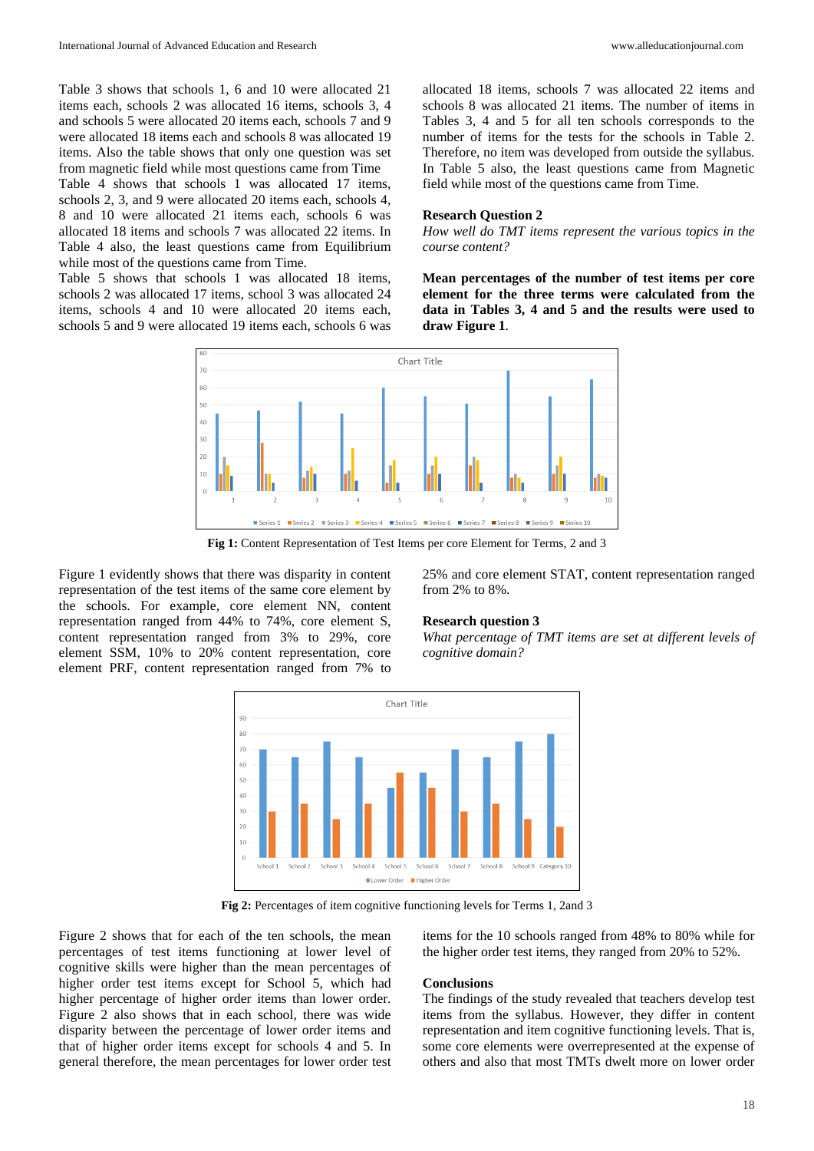Table 3 shows that schools 1, 6 and 10 were allocated 21 items each, schools 2 was allocated 16 items, schools 3, 4 and schools 5 were allocated 20 items each, schools 7 and 9 were allocated 18 items each and schools 8 was allocated 19 items. Also the table shows that only one question was set from magnetic field while most questions came from Time

Table 4 shows that schools 1 was allocated 17 items, schools 2, 3, and 9 were allocated 20 items each, schools 4, 8 and 10 were allocated 21 items each, schools 6 was allocated 18 items and schools 7 was allocated 22 items. In Table 4 also, the least questions came from Equilibrium while most of the questions came from Time.

Table 5 shows that schools 1 was allocated 18 items, schools 2 was allocated 17 items, school 3 was allocated 24 items, schools 4 and 10 were allocated 20 items each, schools 5 and 9 were allocated 19 items each, schools 6 was allocated 18 items, schools 7 was allocated 22 items and schools 8 was allocated 21 items. The number of items in Tables 3, 4 and 5 for all ten schools corresponds to the number of items for the tests for the schools in Table 2. Therefore, no item was developed from outside the syllabus. In Table 5 also, the least questions came from Magnetic field while most of the questions came from Time.

#### **Research Question 2**

*How well do TMT items represent the various topics in the course content?*

**Mean percentages of the number of test items per core element for the three terms were calculated from the data in Tables 3, 4 and 5 and the results were used to draw Figure 1**.



**Fig 1:** Content Representation of Test Items per core Element for Terms, 2 and 3

Figure 1 evidently shows that there was disparity in content representation of the test items of the same core element by the schools. For example, core element NN, content representation ranged from 44% to 74%, core element S, content representation ranged from 3% to 29%, core element SSM, 10% to 20% content representation, core element PRF, content representation ranged from 7% to

25% and core element STAT, content representation ranged from 2% to 8%.

#### **Research question 3**

*What percentage of TMT items are set at different levels of cognitive domain?*



**Fig 2:** Percentages of item cognitive functioning levels for Terms 1, 2and 3

Figure 2 shows that for each of the ten schools, the mean percentages of test items functioning at lower level of cognitive skills were higher than the mean percentages of higher order test items except for School 5, which had higher percentage of higher order items than lower order. Figure 2 also shows that in each school, there was wide disparity between the percentage of lower order items and that of higher order items except for schools 4 and 5. In general therefore, the mean percentages for lower order test

items for the 10 schools ranged from 48% to 80% while for the higher order test items, they ranged from 20% to 52%.

# **Conclusions**

The findings of the study revealed that teachers develop test items from the syllabus. However, they differ in content representation and item cognitive functioning levels. That is, some core elements were overrepresented at the expense of others and also that most TMTs dwelt more on lower order